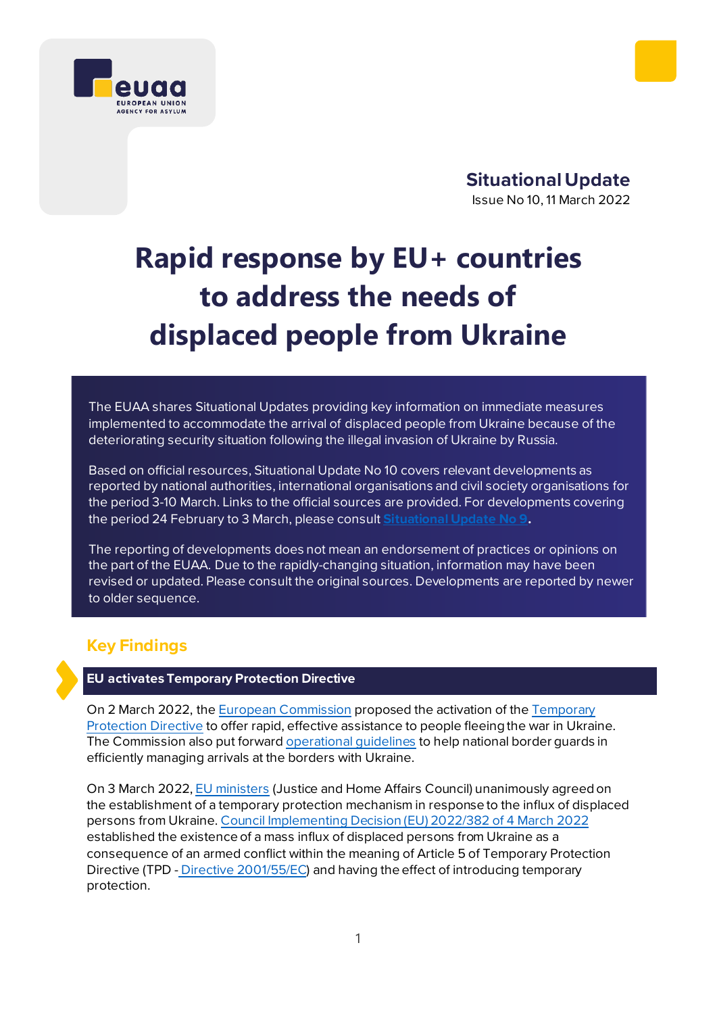

**Situational Update**  Issue No 10, 11 March 2022

# **Rapid response by EU+ countries to address the needs of displaced people from Ukraine**

The EUAA shares Situational Updates providing key information on immediate measures implemented to accommodate the arrival of displaced people from Ukraine because of the deteriorating security situation following the illegal invasion of Ukraine by Russia.

Based on official resources, Situational Update No 10 covers relevant developments as reported by national authorities, international organisations and civil society organisations for the period 3-10 March. Links to the official sources are provided. For developments covering the period 24 February to 3 March, please consult **[Situational Update No 9](https://euaa.europa.eu/sites/default/files/publications/2022-03/2022_situational_update_9_Ukraine_EN_1.pdf).**

The reporting of developments does not mean an endorsement of practices or opinions on the part of the EUAA. Due to the rapidly-changing situation, information may have been revised or updated. Please consult the original sources. Developments are reported by newer to older sequence.

# **Key Findings**

# **EU activates Temporary Protection Directive**

On 2 March 2022, th[e European Commission](https://ec.europa.eu/commission/presscorner/detail/en/IP_22_1469) proposed the activation of the [Temporary](https://ec.europa.eu/home-affairs/proposal-council-implementing-decision-implementing-temporary-protection-directive_en)  [Protection Directive](https://ec.europa.eu/home-affairs/proposal-council-implementing-decision-implementing-temporary-protection-directive_en) to offer rapid, effective assistance to people fleeing the war in Ukraine. The Commission also put forward [operational guidelines](https://ec.europa.eu/home-affairs/communication-providing-operational-guidelines-external-border-management-eu-ukraine-borders_en) to help national border guards in efficiently managing arrivals at the borders with Ukraine.

On 3 March 2022, [EU ministers](https://www.consilium.europa.eu/en/meetings/jha/2022/03/03-04/) (Justice and Home Affairs Council) unanimously agreed on the establishment of a temporary protection mechanism in response to the influx of displaced persons from Ukraine. [Council Implementing Decision \(EU\) 2022/382 of 4](https://eur-lex.europa.eu/legal-content/EN/TXT/?uri=uriserv%3AOJ.L_.2022.071.01.0001.01.ENG&toc=OJ%3AL%3A2022%3A071%3ATOC) March 2022 established the existence of a mass influx of displaced persons from Ukraine as a consequence of an armed conflict within the meaning of Article 5 of Temporary Protection Directive (TPD - Directive [2001/55/EC](https://eur-lex.europa.eu/legal-content/EN/TXT/?uri=celex%3A32001L0055)) and having the effect of introducing temporary protection.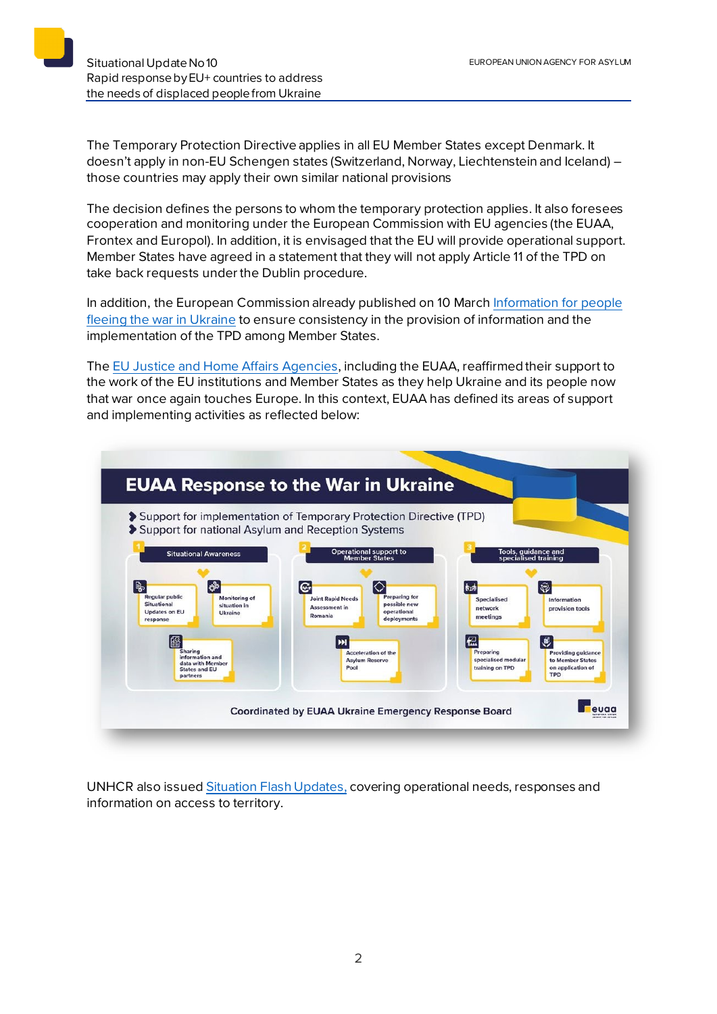The Temporary Protection Directive applies in all EU Member States except Denmark. It doesn't apply in non-EU Schengen states (Switzerland, Norway, Liechtenstein and Iceland) – those countries may apply their own similar national provisions

The decision defines the persons to whom the temporary protection applies. It also foresees cooperation and monitoring under the European Commission with EU agencies (the EUAA, Frontex and Europol). In addition, it is envisaged that the EU will provide operational support. Member States have agreed in a statement that they will not apply Article 11 of the TPD on take back requests under the Dublin procedure.

In addition, the European Commission already published on 10 March [Information for people](https://ec.europa.eu/info/strategy/priorities-2019-2024/stronger-europe-world/eu-solidarity-ukraine/eu-assistance-ukraine/information-people-fleeing-war-ukraine_en)  [fleeing the war in Ukraine](https://ec.europa.eu/info/strategy/priorities-2019-2024/stronger-europe-world/eu-solidarity-ukraine/eu-assistance-ukraine/information-people-fleeing-war-ukraine_en) to ensure consistency in the provision of information and the implementation of the TPD among Member States.

Th[e EU Justice and Home Affairs Agencies](https://euaa.europa.eu/news-events/joint-statement-eu-justice-and-home-affairs-agencies-ukraine), including the EUAA, reaffirmed their support to the work of the EU institutions and Member States as they help Ukraine and its people now that war once again touches Europe. In this context, EUAA has defined its areas of support and implementing activities as reflected below:



UNHCR also issued [Situation Flash Updates](https://data2.unhcr.org/en/documents/details/91208), covering operational needs, responses and information on access to territory.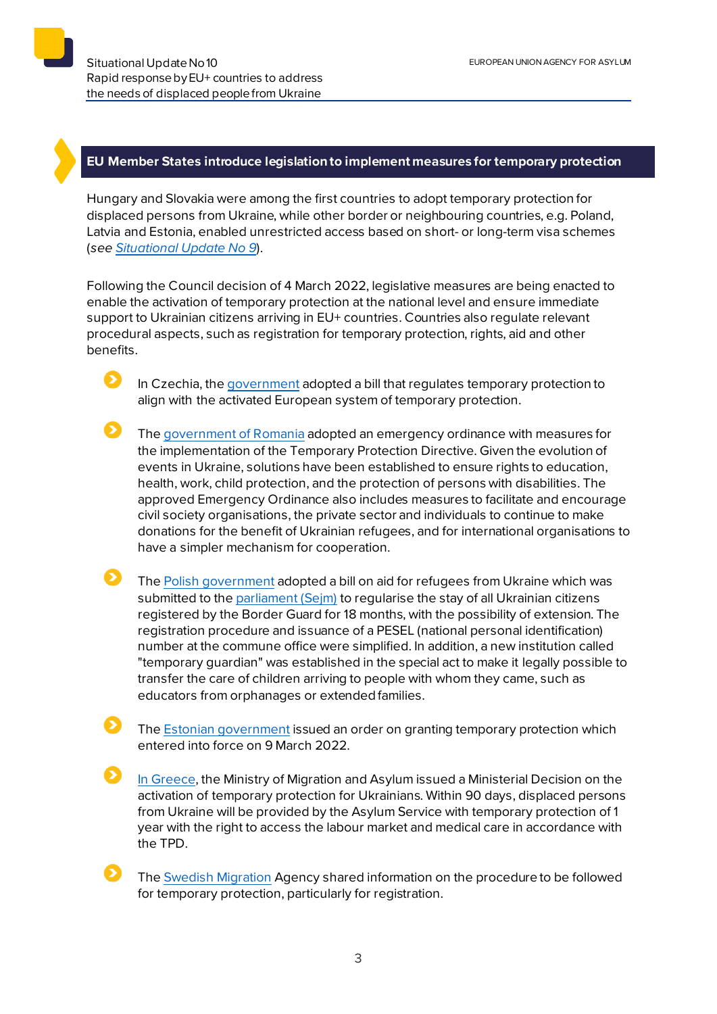### **EU Member States introduce legislationto implement measures for temporary protection**

Hungary and Slovakia were among the first countries to adopt temporary protection for displaced persons from Ukraine, while other border or neighbouring countries, e.g. Poland, Latvia and Estonia, enabled unrestricted access based on short- or long-term visa schemes (*see [Situational Update No 9](https://euaa.europa.eu/sites/default/files/publications/2022-03/2022_situational_update_9_Ukraine_EN_1.pdf)*).

Following the Council decision of 4 March 2022, legislative measures are being enacted to enable the activation of temporary protection at the national level and ensure immediate support to Ukrainian citizens arriving in EU+ countries. Countries also regulate relevant procedural aspects, such as registration for temporary protection, rights, aid and other benefits.

In Czechia, th[e government](https://www.mvcr.cz/clanek/od-zitrka-plati-nova-pravidla-pro-registraci-ukrajincu-pomohou-preplnenym-krajskym-centrum.aspx) adopted a bill that regulates temporary protection to align with the activated European system of temporary protection.

- The [government of Romania](https://gov.ro/ro/media/comunicate/informatie-de-presa-privind-acte-normative-aprobate-in-edinta-guvernului-romaniei-din-7-martie-2022&page=1) adopted an emergency ordinance with measures for the implementation of the Temporary Protection Directive. Given the evolution of events in Ukraine, solutions have been established to ensure rights to education, health, work, child protection, and the protection of persons with disabilities. The approved Emergency Ordinance also includes measures to facilitate and encourage civil society organisations, the private sector and individuals to continue to make donations for the benefit of Ukrainian refugees, and for international organisations to have a simpler mechanism for cooperation.
- $\mathbf \Omega$ The [Polish government](https://www.gov.pl/web/mswia/rzad-przyjal-specustawe-dotyczaca-pomocy-dla-uchodzcow-z-ukrainy) adopted a bill on aid for refugees from Ukraine which was submitted to the [parliament \(Sejm\)](https://www.sejm.gov.pl/Sejm9.nsf/PrzebiegProc.xsp?id=9B9CF6ACD09F2BA8C12587FE005B5C89) to regularise the stay of all Ukrainian citizens registered by the Border Guard for 18 months, with the possibility of extension. The registration procedure and issuance of a PESEL (national personal identification) number at the commune office were simplified. In addition, a new institution called "temporary guardian" was established in the special act to make it legally possible to transfer the care of children arriving to people with whom they came, such as educators from orphanages or extended families.
	- The [Estonian government](https://broneering.politsei.ee/) issued an order on granting temporary protection which entered into force on 9 March 2022.
	- [In Greece,](https://migration.gov.gr/en/energopoieitai-to-kathestos-prosorinis-prostasias-ektopismenon-atomon-apo-tin-oykrania%ef%bf%bc/) the Ministry of Migration and Asylum issued a Ministerial Decision on the activation of temporary protection for Ukrainians. Within 90 days, displaced persons from Ukraine will be provided by the Asylum Service with temporary protection of 1 year with the right to access the labour market and medical care in accordance with the TPD.
		- The [Swedish Migration](https://www.migrationsverket.se/English/About-the-Migration-Agency/The-situation-in-Ukraine.html) Agency shared information on the procedure to be followed for temporary protection, particularly for registration.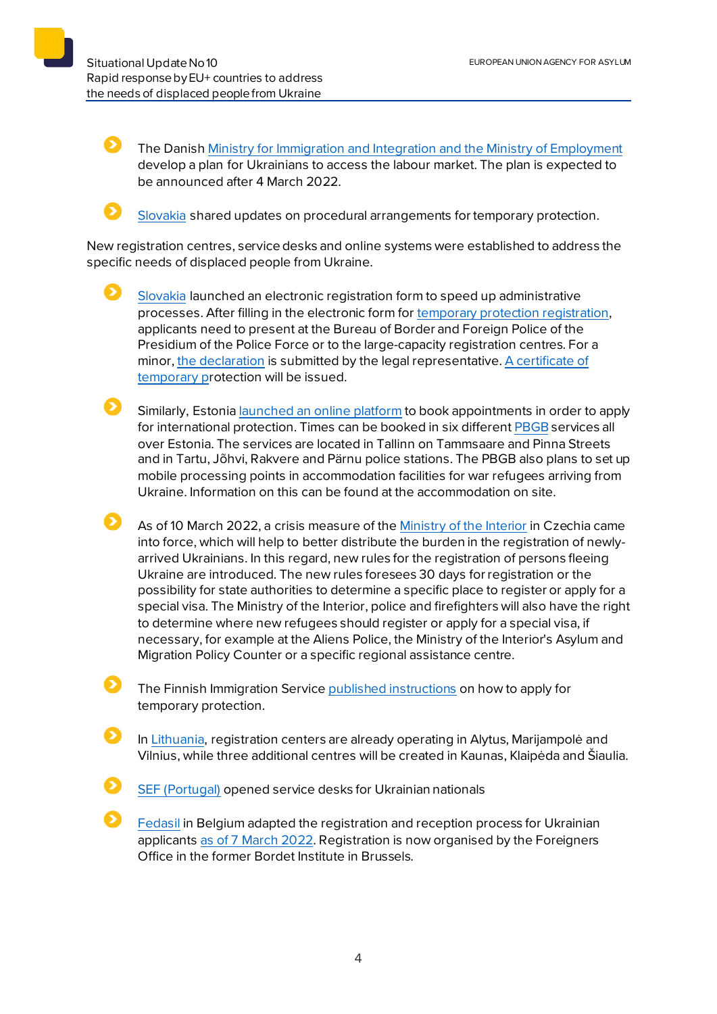The Danis[h Ministry for Immigration and Integration and the Ministry of Employment](https://uim.dk/nyhedsarkiv/2022/marts/invitation-til-doorstep-efter-moede-om-ukraine-med-arbejdsmarkedets-parter/) develop a plan for Ukrainians to access the labour market. The plan is expected to be announced after 4 March 2022.



Ð

[Slovakia](https://www.minv.sk/?tlacove-spravy&sprava=poziadat-o-docasne-utocisko-mozno-aj-vo-velkokapacitnych-centrach-v-humennom-michalovciach-a-v-bratislave) shared updates on procedural arrangements for temporary protection.

New registration centres, service desks and online systems were established to address the specific needs of displaced people from Ukraine.

[Slovakia](https://www.minv.sk/?tlacove-spravy&sprava=pri-ziadosti-o-docasne-utocisko-mozno-vyuzit-elektronicky-registracny-formular) launched an electronic registration form to speed up administrative processes. After filling in the electronic form for [temporary protection](https://portal.minv.sk/.../ecu_elektronicke_sluzby/ECU-UA) registration, applicants need to present at the Bureau of Border and Foreign Police of the Presidium of the Police Force or to the large-capacity registration centres. For a minor, [the declaration](https://www.minv.sk/?hlasenie-pobytu-1&subor=437458) is submitted by the legal representative. [A certificate of](https://www.minv.sk/swift_data/source/images/docasne-utocisko-vzor-dokladu.pdf)  [temporary pr](https://www.minv.sk/swift_data/source/images/docasne-utocisko-vzor-dokladu.pdf)otection will be issued.

Similarly, Estoni[a launched an online platform](https://broneering.politsei.ee/) to book appointments in order to apply for international protection. Times can be booked in six differen[t PBGB](https://www.politsei.ee/et/juhend/info-seoses-ukraina-sojaga/ajutine-kaitse-ukraina-kodanikele-ja-nende-pereliikmetele) services all over Estonia. The services are located in Tallinn on Tammsaare and Pinna Streets and in Tartu, Jõhvi, Rakvere and Pärnu police stations. The PBGB also plans to set up mobile processing points in accommodation facilities for war refugees arriving from Ukraine. Information on this can be found at the accommodation on site.

 $\mathbf{\Omega}$ As of 10 March 2022, a crisis measure of th[e Ministry of the Interior](https://www.mvcr.cz/clanek/od-zitrka-plati-nova-pravidla-pro-registraci-ukrajincu-pomohou-preplnenym-krajskym-centrum.aspx) in Czechia came into force, which will help to better distribute the burden in the registration of newlyarrived Ukrainians. In this regard, new rules for the registration of persons fleeing Ukraine are introduced. The new rules foresees 30 days for registration or the possibility for state authorities to determine a specific place to register or apply for a special visa. The Ministry of the Interior, police and firefighters will also have the right to determine where new refugees should register or apply for a special visa, if necessary, for example at the Aliens Police, the Ministry of the Interior's Asylum and Migration Policy Counter or a specific regional assistance centre.

The Finnish Immigration Servic[e published instructions](https://migri.fi/tilapainen-suojelu) on how to apply for temporary protection.

In [Lithuania,](https://vrm.lrv.lt/lt/naujienos/pabegeliu-is-ukrainos-registracija-vykdys-dar-trys-centrai-didziuosiuose-miestuose) registration centers are already operating in Alytus, Marijampolė and Vilnius, while three additional centres will be created in Kaunas, Klaipėda and Šiaulia.

[SEF \(Portugal\)](https://twitter.com/ainterna_pt/status/1499796204737155074?cxt=HHwWhMCyrfasrNApAAAA) opened service desks for Ukrainian nationals

[Fedasil](https://www.fedasil.be/fr/actualites/accueil-des-demandeurs-dasile/accueil-des-ressortissants-ukrainiens) in Belgium adapted the registration and reception process for Ukrainian applicants [as of 7 March](https://info-ukraine.be/en/newsroom/temporary-protection) 2022. Registration is now organised by the Foreigners Office in the former Bordet Institute in Brussels.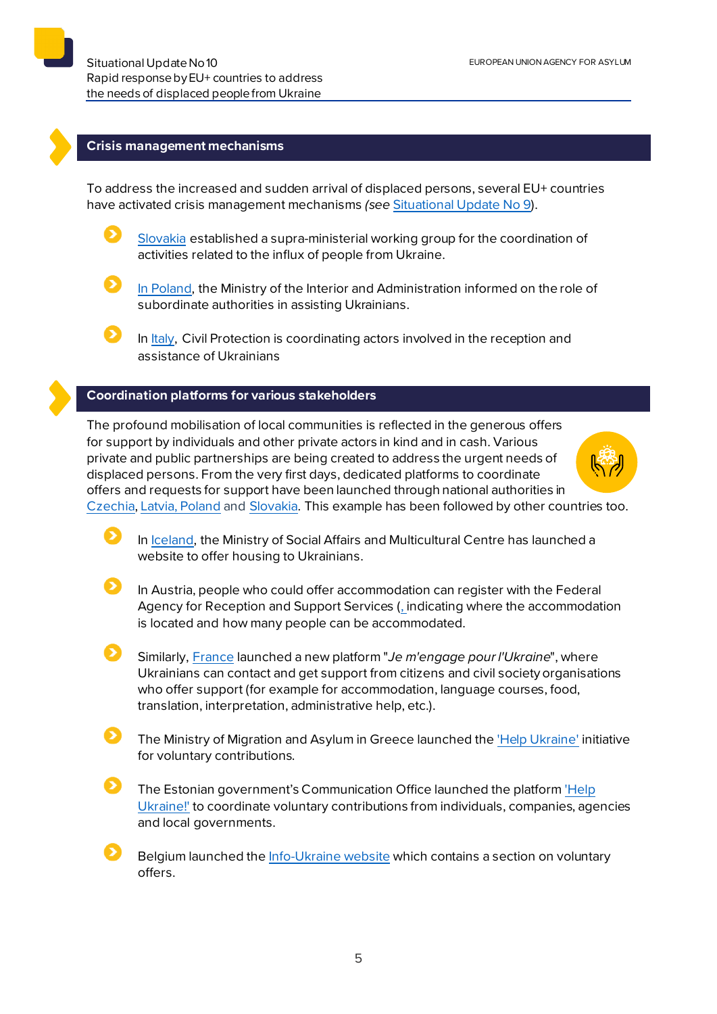#### **Crisis management mechanisms**

To address the increased and sudden arrival of displaced persons, several EU+ countries have activated crisis management mechanisms *(see* [Situational Update No 9\)](https://euaa.europa.eu/sites/default/files/publications/2022-03/2022_situational_update_9_Ukraine_EN_1.pdf).

 $\mathbf{\Omega}$ [Slovakia](https://www.minv.sk/?tlacove-spravy&sprava=situaciu-na-hraniciach-bude-koordinovat-nadrezortna-pracovna-skupina-ustredneho-krizoveho-stabu) established a supra-ministerial working group for the coordination of activities related to the influx of people from Ukraine.



[In Poland,](https://www.gov.pl/web/mswia/sluzby-mswia-i-wojewodowie-pomagaja-osobom-uciekajacym-z-ukrainy-przed-wojna) the Ministry of the Interior and Administration informed on the role of subordinate authorities in assisting Ukrainians.

In [Italy,](https://www.protezionecivile.gov.it/it/notizia/emergenza-ucraina-disponibile-lordinanza-sullaccoglienza-il-soccorso-e-lassistenza-alla-popolazione-ucraina) Civil Protection is coordinating actors involved in the reception and assistance of Ukrainians

## **Coordination platforms for various stakeholders**

The profound mobilisation of local communities is reflected in the generous offers for support by individuals and other private actors in kind and in cash. Various private and public partnerships are being created to address the urgent needs of displaced persons. From the very first days, dedicated platforms to coordinate offers and requests for support have been launched through national authorities in [Czechia,](http://www.nasiukrajinci.cz/?fbclid=IwAR264_ZcugmFEdsvBeMFnKqdt-dDEUZ24WH2OP0wS6t9CqYVMNS9_7QG9J0) [Latvia,](https://www.rs.gov.lv/lv/jaunums/par-atbalsta-ukrainas-iedzivotajiem-koordinesanu) [Poland](https://pomagamukrainie.gov.pl/) and [Slovakia.](https://pomocpreukrajinu.sk/) This example has been followed by other countries too.

In [Iceland,](https://www.stjornarradid.is/efst-a-baugi/frettir/stok-frett/2022/03/09/Opna-vefsidu-thar-sem-haegt-er-ad-skra-leiguhusnaedi-vegna-komu-flottafolks-fra-Ukrainu/) the Ministry of Social Affairs and Multicultural Centre has launched a website to offer housing to Ukrainians.

In Austria, people who could offer accommodation can register with the Federal Agency for Reception and Support Services [\(,](https://forms.office.com/pages/responsepage.aspx?id=tC5c9L4QGke1LGpmWx5y5_gur4SysFtHvA2gdtpnYclUNFdZNVdLWTc4RjNERE1FTzBYT1lUNUdTMC4u) indicating where the accommodation is located and how many people can be accommodated.

Similarly, [France](https://www.interieur.gouv.fr/actualites/communiques/situation-en-ukraine/marlene-schiappa-lance-plateforme-je-mengage-pour) launched a new platform "*Je m'engage pour l'Ukraine*", where Ukrainians can contact and get support from citizens and civil society organisations who offer support (for example for accommodation, language courses, food, translation, interpretation, administrative help, etc.).

The Ministry of Migration and Asylum in Greece launched th[e 'Help Ukraine'](https://migration.gov.gr/helpukraine/) initiative for voluntary contributions.

The Estonian government's Communication Office launched the platfor[m 'Help](https://kriis.ee/aita-ukrainat)  [Ukraine!'](https://kriis.ee/aita-ukrainat) to coordinate voluntary contributions from individuals, companies, agencies and local governments.

Belgium launched th[e Info-Ukraine website](https://www.info-ukraine.be/) which contains a section on voluntary offers.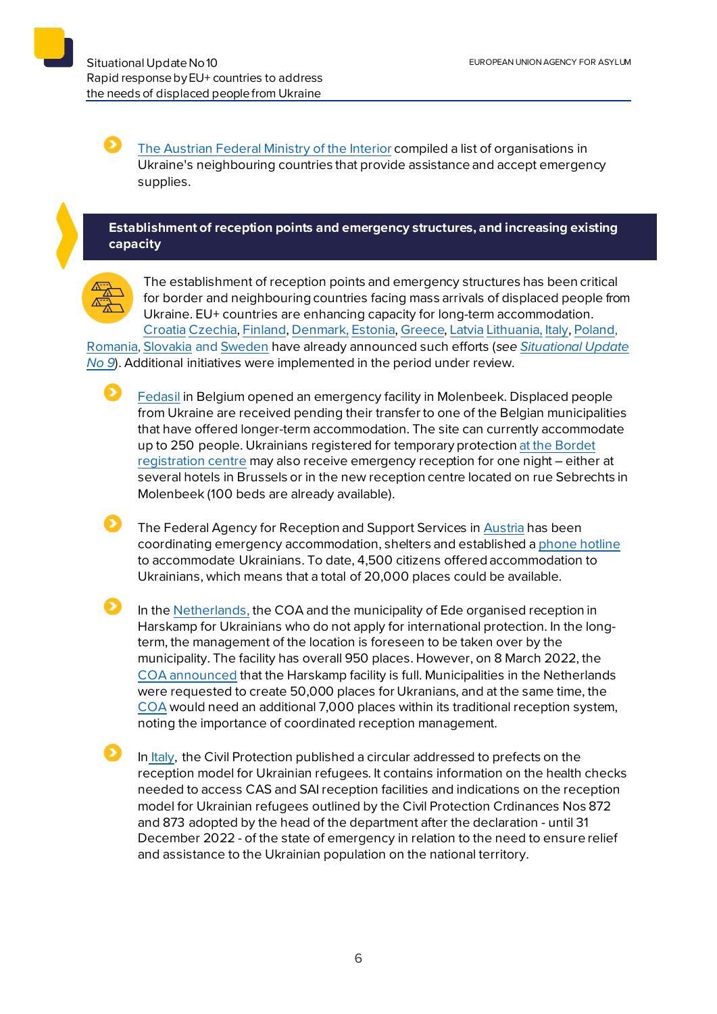[The Austrian Federal Ministry of the Interior](https://www.bmi.gv.at/news.aspx?id=4E7157476477666F5745673D) compiled a list of organisations in Ukraine's neighbouring countries that provide assistance and accept emergency supplies.

# **Establishment of reception points and emergency structures, and increasing existing capacity**



Ð

The establishment of reception points and emergency structures has been critical for border and neighbouring countries facing mass arrivals of displaced people from Ukraine. EU+ countries are enhancing capacity for long-term accommodation. [Croatia](https://mup.gov.hr/vijesti/u-hrvatsku-stiglo-190-izbjeglica-pripremamo-se-za-masovniji-val/288536) [Czechia,](http://www.suz.cz/informace-pro-nove-prichozi-obcany-ukrajiny/) [Finland,](https://migri.fi/en/-/finnish-immigration-service-closely-monitoring-situation-in-ukraine) [Denmark,](https://us.dk/nyheder/2022/marts/ukraine-faq/) [Estonia,](https://www.sotsiaalkindlustusamet.ee/et/uudised/eestisse-joudnud-esimesed-ukraina-sojapogenikud) [Greece,](https://migration.gov.gr/ukraina_ukr/) [Latvia](https://www.rs.gov.lv/lv/informacija-ukrainas-pilsoniem-kuri-izcelo-no-ukrainas-militara-konflikta-del) [Lithuania,](https://vrm.lrv.lt/lt/naujienos/vrm-kaip-vyks-karo-pabegeliu-is-ukrainos-priemimas) [Italy,](https://www.ansa.it/sito/notizie/mondo/2022/02/27/ucraina-oggi-il-cdm-su-energia-e-aiuti-militari-a-kiev_22f90df1-74c8-4d4f-b245-b74839582e90.html) [Poland,](https://www.gov.pl/web/mswia/minister-kaminski-wszystkim-naszym-ukrainskim-braciom-okazemy-solidarnosc-i-wsparcie)

[Romania,](https://www.facebook.com/departamenturgente/posts/371184541499380) [Slovakia](https://www.minv.sk/?tlacove-spravy&sprava=ministerstvo-vnutra-k-aktualnemu-dianiu-na-ukrajine) and [Sweden](https://www.migrationsverket.se/Om-Migrationsverket/Pressrum/Nyhetsarkiv/Nyhetsarkiv-2022/2022-02-24-Migrationsverket-har-okad-beredskap-efter-utvecklingen-i-Ukraina.html) have already announced such efforts (*see [Situational Update](https://euaa.europa.eu/sites/default/files/publications/2022-03/2022_situational_update_9_Ukraine_EN_1.pdf)  [No 9](https://euaa.europa.eu/sites/default/files/publications/2022-03/2022_situational_update_9_Ukraine_EN_1.pdf)*). Additional initiatives were implemented in the period under review.

[Fedasil](https://www.fedasil.be/fr/actualites/accueil-des-demandeurs-dasile/accueil-de-crise-molenbeek-pour-les-ukrainiens) in Belgium opened an emergency facility in Molenbeek. Displaced people from Ukraine are received pending their transfer to one of the Belgian municipalities that have offered longer-term accommodation. The site can currently accommodate up to 250 people. Ukrainians registered for temporary protectio[n at the Bordet](https://www.fedasil.be/fr/actualites/accueil-des-demandeurs-dasile/accueil-des-ressortissants-ukrainiens)  [registration centre](https://www.fedasil.be/fr/actualites/accueil-des-demandeurs-dasile/accueil-des-ressortissants-ukrainiens) may also receive emergency reception for one night – either at several hotels in Brussels or in the new reception centre located on rue Sebrechts in Molenbeek (100 beds are already available).

 $\bullet$ The Federal Agency for Reception and Support Services i[n Austria](https://www.bmi.gv.at/news.aspx?id=7377444259556F4164696B3D) has been coordinating emergency accommodation, shelters and established a [phone hotline](https://www.bbu.gv.at/ukraine) to accommodate Ukrainians. To date, 4,500 citizens offered accommodation to Ukrainians, which means that a total of 20,000 places could be available.

 $\bullet$ In the [Netherlands,](https://www.coa.nl/nl/nieuws/eerste-vluchtelingen-oekraine-harskamp) the COA and the municipality of Ede organised reception in Harskamp for Ukrainians who do not apply for international protection. In the longterm, the management of the location is foreseen to be taken over by the municipality. The facility has overall 950 places. However, on 8 March 2022, the [COA announced](https://www.coa.nl/nl/nieuws/opvang-harskamp-vol-dringend-nieuwe-opvanglocaties-nodig) that the Harskamp facility is full. Municipalities in the Netherlands were requested to create 50,000 places for Ukranians, and at the same time, the [COA](https://easo.sharepoint.com/sites/IDS-NLD/SitePages/The-COA-underlines-the-importance-of-coordinated-reception-management.aspx) would need an additional 7,000 places within its traditional reception system, noting the importance of coordinated reception management.

In [Italy,](https://www.interno.gov.it/it/notizie/profughi-ucraini-indicazioni-prefetti-sul-modello-accoglienza-e-sui-controlli-sanitari-accedere-alla-rete-cassai) the Civil Protection published a circular addressed to prefects on the reception model for Ukrainian refugees. It contains information on the health checks needed to access CAS and SAI reception facilities and indications on the reception model for Ukrainian refugees outlined by the Civil Protection Crdinances Nos 872 and 873 adopted by the head of the department after the declaration - until 31 December 2022 - of the state of emergency in relation to the need to ensure relief and assistance to the Ukrainian population on the national territory.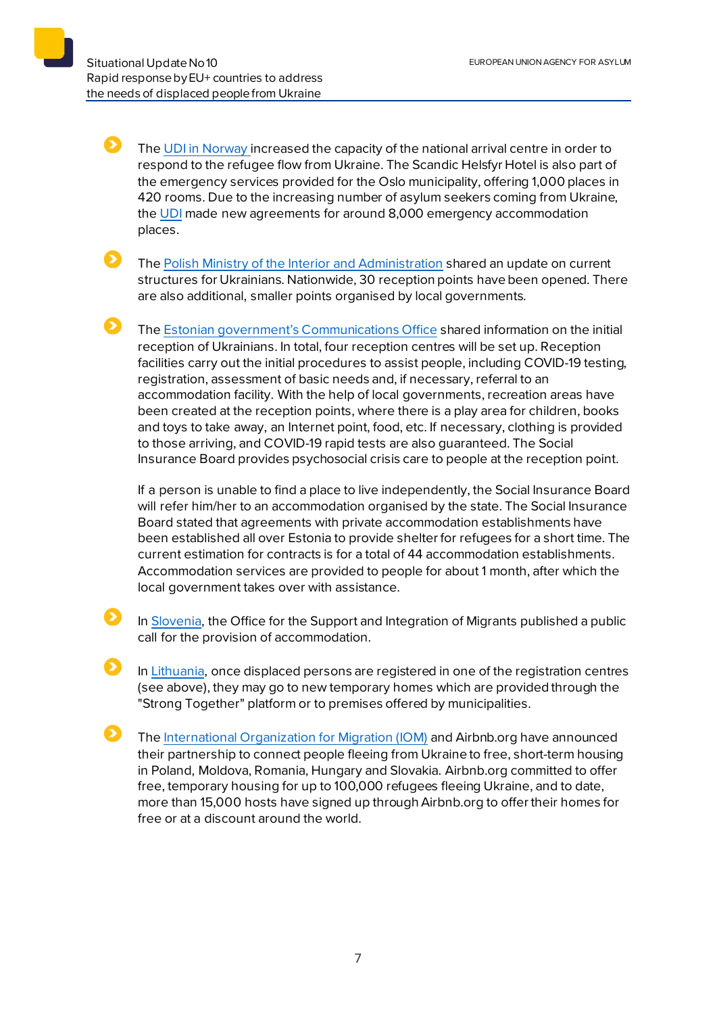51

The [UDI in Norway i](https://www.udi.no/nn/aktuelt/ankomster-av-ukrainske-flyktninger-til-norge/)ncreased the capacity of the national arrival centre in order to respond to the refugee flow from Ukraine. The Scandic Helsfyr Hotel is also part of the emergency services provided for the Oslo municipality, offering 1,000 places in 420 rooms. Due to the increasing number of asylum seekers coming from Ukraine, the [UDI](https://www.udi.no/en/latest/nye-avtaler-om-akuttinnkvartering/) made new agreements for around 8,000 emergency accommodation places.

The [Polish Ministry of the Interior and Administration](https://www.gov.pl/web/mswia/wiceminister-pawel-szefernaker-juz-prawie-800-tys-osob-ucieklo-przed-wojna-z-ukrainy-do-polski) shared an update on current structures for Ukrainians. Nationwide, 30 reception points have been opened. There are also additional, smaller points organised by local governments.

The [Estonian government's Communications Office](https://www.tallinn.ee/Sojapogenike-vastuvotukeskus-Tallinnas) shared information on the initial reception of Ukrainians. In total, four reception centres will be set up. Reception facilities carry out the initial procedures to assist people, including COVID-19 testing, registration, assessment of basic needs and, if necessary, referral to an accommodation facility. With the help of local governments, recreation areas have been created at the reception points, where there is a play area for children, books and toys to take away, an Internet point, food, etc. If necessary, clothing is provided to those arriving, and COVID-19 rapid tests are also guaranteed. The Social Insurance Board provides psychosocial crisis care to people at the reception point.

If a person is unable to find a place to live independently, the Social Insurance Board will refer him/her to an accommodation organised by the state. The Social Insurance Board stated that agreements with private accommodation establishments have been established all over Estonia to provide shelter for refugees for a short time. The current estimation for contracts is for a total of 44 accommodation establishments. Accommodation services are provided to people for about 1 month, after which the local government takes over with assistance.

In [Slovenia,](https://www.gov.si/novice/2022-03-05-javni-poziv-za-zagotavljanje-nastanitvenih-objektov-za-namen-pomoci-ob-resevanju-krize-v-ukrajini/) the Office for the Support and Integration of Migrants published a public call for the provision of accommodation.

- In [Lithuania,](https://vrm.lrv.lt/lt/naujienos/pabegeliu-is-ukrainos-registracija-vykdys-dar-trys-centrai-didziuosiuose-miestuose) once displaced persons are registered in one of the registration centres (see above), they may go to new temporary homes which are provided through the "Strong Together" platform or to premises offered by municipalities.
	- The [International Organization for Migration \(IOM\)](https://greece.iom.int/news/international-organization-migration-and-airbnborg-partner-support-those-fleeing-ukraine) and Airbnb.org have announced their partnership to connect people fleeing from Ukraine to free, short-term housing in Poland, Moldova, Romania, Hungary and Slovakia. Airbnb.org committed to offer free, temporary housing for up to 100,000 refugees fleeing Ukraine, and to date, more than 15,000 hosts have signed up through Airbnb.org to offer their homes for free or at a discount around the world.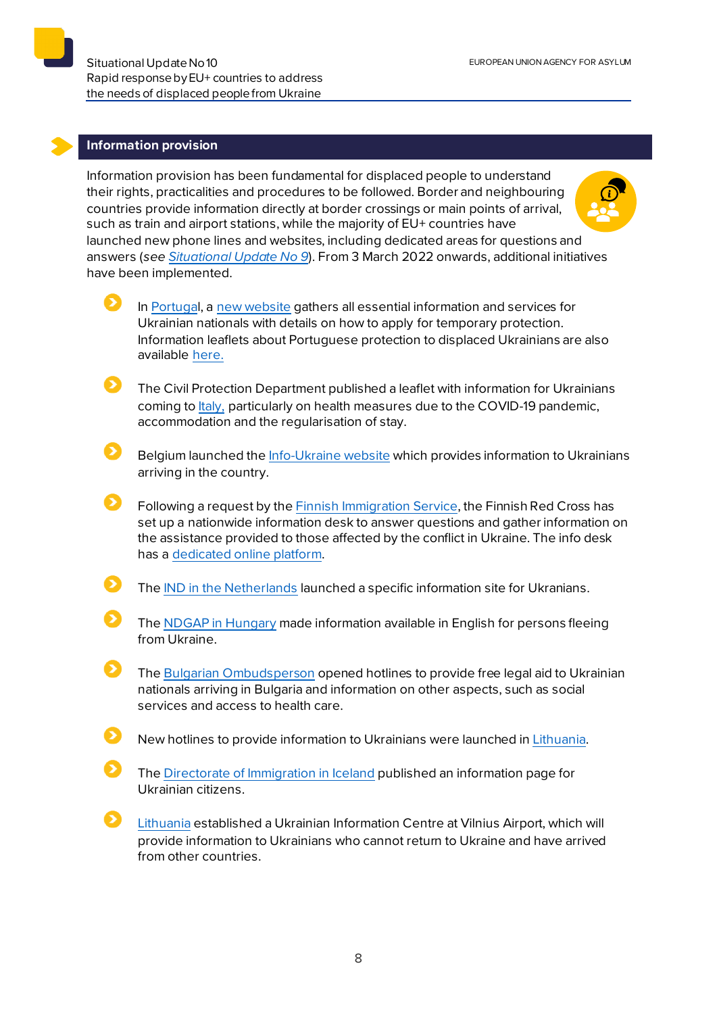#### **Information provision**

Information provision has been fundamental for displaced people to understand their rights, practicalities and procedures to be followed. Border and neighbouring countries provide information directly at border crossings or main points of arrival, such as train and airport stations, while the majority of EU+ countries have launched new phone lines and websites, including dedicated areas for questions and answers (*see [Situational Update No 9](https://euaa.europa.eu/sites/default/files/publications/2022-03/2022_situational_update_9_Ukraine_EN_1.pdf)*). From 3 March 2022 onwards, additional initiatives have been implemented.

- 6 In [Portugal](https://www.portugal.gov.pt/pt/gc22/comunicacao/noticia?i=governo-lanca-plataforma-digital-portugal-for-ukraine), a [new website](https://portugalforukraine.gov.pt/) gathers all essential information and services for Ukrainian nationals with details on how to apply for temporary protection. Information leaflets about Portuguese protection to displaced Ukrainians are also available [here.](https://portaldiplomatico.mne.gov.pt/servicos/servicos-informativos/ucrania)
	- The Civil Protection Department published a leaflet with information for Ukrainians coming to [Italy,](https://www.protezionecivile.gov.it/it/notizia/online-una-scheda-con-le-informazioni-utili-i-cittadini-ucraini-arrivo-italia-0) particularly on health measures due to the COVID-19 pandemic, accommodation and the regularisation of stay.
- Belgium launched th[e Info-Ukraine website](https://www.info-ukraine.be/) which provides information to Ukrainians arriving in the country.
- Following a request by th[e Finnish Immigration Service](https://migri.fi/-/punainen-risti-tarjoaa-maahanmuuttoviraston-tukena-tietoa-ukrainan-kriisista-karsivien-auttamisesta), the Finnish Red Cross has set up a nationwide information desk to answer questions and gather information on the assistance provided to those affected by the conflict in Ukraine. The info desk has a [dedicated online platform.](https://www.punainenristi.fi/ukrainainfo)
- The [IND in the Netherlands](https://ind.nl/en/ukraine/Pages/Coming-to-the-Netherlands-as-a-Ukrainian.aspx) launched a specific information site for Ukranians.
- The [NDGAP in Hungary](http://www.bmbah.hu/index.php?option=com_k2&view=item&id=1735:national-directorate-general-for-aliens-policing-information-for-people-fleeing-ukraine&Itemid=2108&lang=en) made information available in English for persons fleeing from Ukraine.
- The [Bulgarian Ombudsperson](https://www.ombudsman.bg/news/?page=1#middleWrapper) opened hotlines to provide free legal aid to Ukrainian nationals arriving in Bulgaria and information on other aspects, such as social services and access to health care.
	- New hotlines to provide information to Ukrainians were launched i[n Lithuania.](https://www.redcross.lt/informacija-karo-pabegeliams-ukrainos)
- The [Directorate of Immigration in Iceland](https://utl.is/index.php/um-utlendingastofnun/algengar-spurningar/upplysingar-fyrir-rikisborgara-ukrainu) published an information page for Ukrainian citizens.
- [Lithuania](https://vrm.lrv.lt/lt/naujienos/ukrainieciu-registracijos-centras-veiks-ir-vilniuje) established a Ukrainian Information Centre at Vilnius Airport, which will provide information to Ukrainians who cannot return to Ukraine and have arrived from other countries.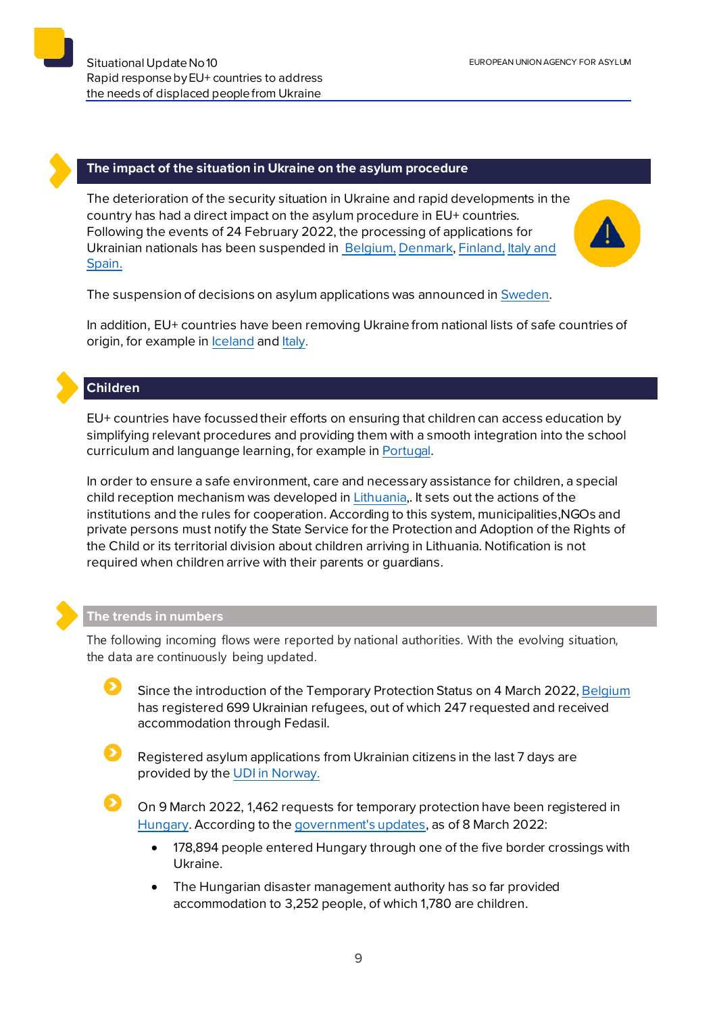

### **The impact of the situation in Ukraine on the asylum procedure**

The deterioration of the security situation in Ukraine and rapid developments in the country has had a direct impact on the asylum procedure in EU+ countries. Following the events of 24 February 2022, the processing of applications for Ukrainian nationals has been suspended i[n Belgium](https://www.cgra.be/en/news/situation-ukraine-freeze-processing-applications), [Denmark,](https://fln.dk/da/Nyheder/Nyhedsarkiv/2022/240220221) [Finland](https://migri.fi/en/-/finnish-immigration-service-closely-monitoring-situation-in-ukraine), [Italy a](https://caselaw.euaa.europa.eu/pages/viewcaselaw.aspx?CaseLawID=2403)nd [Spain.](https://caselaw.euaa.europa.eu/pages/viewcaselaw.aspx?CaseLawID=2404&returnurl=/pages/digest.aspx)



The suspension of decisions on asylum applications was announced in [Sweden](https://www.migrationsverket.se/English/About-the-Migration-Agency/The-situation-in-Ukraine.html).

In addition, EU+ countries have been removing Ukraine from national lists of safe countries of origin, for example in [Iceland](https://utl.is/index.php/en/list-of-safe-countries) and [Italy.](https://www.asgi.it/primo-piano/ucraina-tavolo-asilo-e-immigrazione-si-accolgano-i-profughi-della-guerra/)

# **Children**

EU+ countries have focussedtheir efforts on ensuring that children can access education by simplifying relevant procedures and providing them with a smooth integration into the school curriculum and languange learning, for example in [Portugal.](https://www.portugal.gov.pt/pt/gc22/comunicacao/noticia?i=escolas-portuguesas-estao-preparadas-para-receber-criancas-da-ucrania)

In order to ensure a safe environment, care and necessary assistance for children, a special child reception mechanism was developed i[n Lithuania,](https://socmin.lrv.lt/lt/naujienos/apie-i-lietuva-be-tevu-atvykstancius-vaikus-is-ukrainos-butina-pranesti). It sets out the actions of the institutions and the rules for cooperation. According to this system, municipalities,NGOs and private persons must notify the State Service for the Protection and Adoption of the Rights of the Child or its territorial division about children arriving in Lithuania. Notification is not required when children arrive with their parents or guardians.

#### **The trends in numbers**

The following incoming flows were reported by national authorities. With the evolving situation, the data are continuously being updated.

Since the introduction of the Temporary Protection Status on 4 March 2022[, Belgium](https://www.fedasil.be/fr/actualites/accueil-des-demandeurs-dasile/accueil-de-crise-molenbeek-pour-les-ukrainiens) has registered 699 Ukrainian refugees, out of which 247 requested and received accommodation through Fedasil.

Registered asylum applications from Ukrainian citizens in the last 7 days are provided by the [UDI in Norway.](https://www.udi.no/en/statistics-and-analysis/statistics/registrerte-asylsoknader-fra-ukrainske-borgere-de-siste-syv-dager-2022/#undefined)

On 9 March 2022, 1,462 requests for temporary protection have been registered in [Hungary.](http://www.bmbah.hu/index.php?option=com_k2&view=itemlist&layout=category&task=category&id=6&lang=en) According to th[e government's updates](https://abouthungary.hu/news-in-brief/nearly-180-000-refugees-arrive-in-hungary-by-tuesday), as of 8 March 2022:

- 178,894 people entered Hungary through one of the five border crossings with Ukraine.
- The Hungarian disaster management authority has so far provided accommodation to 3,252 people, of which 1,780 are children.